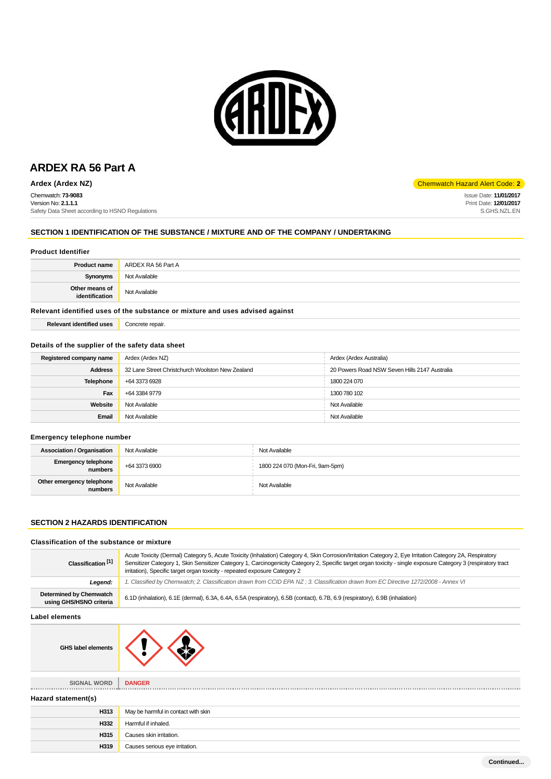

Chemwatch: **73-9083** Version No: **2.1.1.1** Safety Data Sheet according to HSNO Regulations

# **SECTION 1 IDENTIFICATION OF THE SUBSTANCE / MIXTURE AND OF THE COMPANY / UNDERTAKING**

### **Product Identifier**

| <b>Product name</b>              | ARDEX RA 56 Part A |
|----------------------------------|--------------------|
| Synonyms                         | Not Available      |
| Other means of<br>identification | Not Available      |

# **Relevant identified uses of the substance or mixture and uses advised against**

| <b>Relevant identified uses</b> | Concrete repair. |
|---------------------------------|------------------|
|                                 |                  |

# **Details of the supplier of the safety data sheet**

| Registered company name                                            | Ardex (Ardex NZ) | Ardex (Ardex Australia)                       |
|--------------------------------------------------------------------|------------------|-----------------------------------------------|
| 32 Lane Street Christchurch Woolston New Zealand<br><b>Address</b> |                  | 20 Powers Road NSW Seven Hills 2147 Australia |
| <b>Telephone</b>                                                   | +64 3373 6928    | 1800 224 070                                  |
| Fax                                                                | +64 3384 9779    | 1300 780 102                                  |
| Website                                                            | Not Available    | Not Available                                 |
| Email                                                              | Not Available    | Not Available                                 |

### **Emergency telephone number**

| <b>Association / Organisation</b>       | Not Available | Not Available                   |
|-----------------------------------------|---------------|---------------------------------|
| <b>Emergency telephone</b><br>numbers . | +64 3373 6900 | 1800 224 070 (Mon-Fri, 9am-5pm) |
| Other emergency telephone<br>numbers    | Not Available | Not Available                   |

# **SECTION 2 HAZARDS IDENTIFICATION**

# **Classification of the substance or mixture**

| Classification <sup>[1]</sup>                             | Acute Toxicity (Dermal) Category 5, Acute Toxicity (Inhalation) Category 4, Skin Corrosion/Irritation Category 2, Eye Irritation Category 2A, Respiratory<br>Sensitizer Category 1, Skin Sensitizer Category 1, Carcinogenicity Category 2, Specific target organ toxicity - single exposure Category 3 (respiratory tract<br>irritation), Specific target organ toxicity - repeated exposure Category 2 |  |
|-----------------------------------------------------------|----------------------------------------------------------------------------------------------------------------------------------------------------------------------------------------------------------------------------------------------------------------------------------------------------------------------------------------------------------------------------------------------------------|--|
| Legend:                                                   | 1. Classified by Chemwatch; 2. Classification drawn from CCID EPA NZ; 3. Classification drawn from EC Directive 1272/2008 - Annex VI                                                                                                                                                                                                                                                                     |  |
| <b>Determined by Chemwatch</b><br>using GHS/HSNO criteria | 6.1D (inhalation), 6.1E (dermal), 6.3A, 6.4A, 6.5A (respiratory), 6.5B (contact), 6.7B, 6.9 (respiratory), 6.9B (inhalation)                                                                                                                                                                                                                                                                             |  |
| Label elements                                            |                                                                                                                                                                                                                                                                                                                                                                                                          |  |
| <b>GHS label elements</b>                                 |                                                                                                                                                                                                                                                                                                                                                                                                          |  |
| SIGNAL WORD                                               | <b>DANGER</b>                                                                                                                                                                                                                                                                                                                                                                                            |  |
| Hazard statement(s)                                       |                                                                                                                                                                                                                                                                                                                                                                                                          |  |
| H313                                                      | May be harmful in contact with skin                                                                                                                                                                                                                                                                                                                                                                      |  |
| H332                                                      | Harmful if inhaled.                                                                                                                                                                                                                                                                                                                                                                                      |  |
| H315                                                      | Causes skin irritation.                                                                                                                                                                                                                                                                                                                                                                                  |  |
| H319                                                      | Causes serious eye irritation.                                                                                                                                                                                                                                                                                                                                                                           |  |

**Ardex (Ardex NZ)** Chemwatch Hazard Alert Code: 2

Issue Date: **11/01/2017** Print Date: **12/01/2017** S.GHS.NZL.EN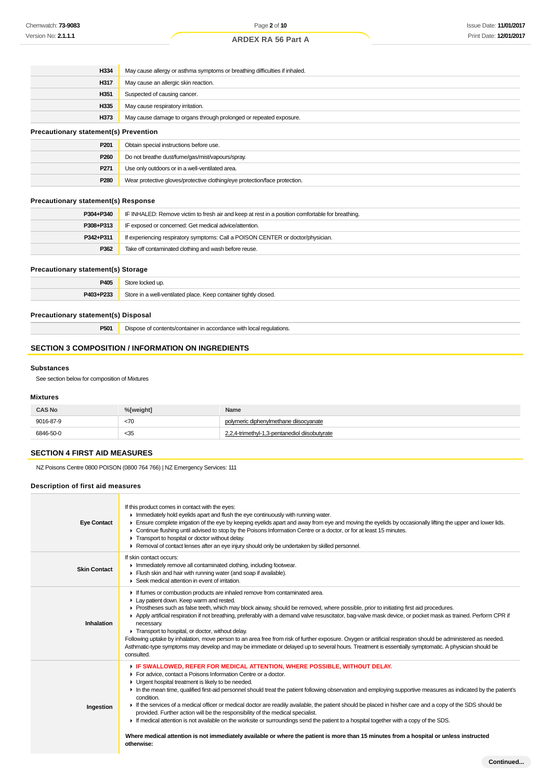| H334<br>May cause allergy or asthma symptoms or breathing difficulties if inhaled. |                                                                    |  |
|------------------------------------------------------------------------------------|--------------------------------------------------------------------|--|
| H317                                                                               | May cause an allergic skin reaction.                               |  |
| H351                                                                               | Suspected of causing cancer.                                       |  |
| H335                                                                               | May cause respiratory irritation.                                  |  |
| H373                                                                               | May cause damage to organs through prolonged or repeated exposure. |  |
| <b>Precautionary statement(s) Prevention</b>                                       |                                                                    |  |
| P <sub>201</sub>                                                                   | Obtain special instructions before use.                            |  |
| ----                                                                               |                                                                    |  |

| ------ |                                                                            |  |
|--------|----------------------------------------------------------------------------|--|
| P260   | Do not breathe dust/fume/gas/mist/vapours/spray.                           |  |
| P271   | Use only outdoors or in a well-ventilated area.                            |  |
| P280   | Wear protective gloves/protective clothing/eye protection/face protection. |  |

# **Precautionary statement(s) Response**

| P304+P340                                                                                    | IF INHALED: Remove victim to fresh air and keep at rest in a position comfortable for breathing. |  |
|----------------------------------------------------------------------------------------------|--------------------------------------------------------------------------------------------------|--|
| IF exposed or concerned: Get medical advice/attention.<br>P308+P313                          |                                                                                                  |  |
| If experiencing respiratory symptoms: Call a POISON CENTER or doctor/physician.<br>P342+P311 |                                                                                                  |  |
| P362                                                                                         | Take off contaminated clothing and wash before reuse.                                            |  |

### **Precautionary statement(s) Storage**

| P405      | Store locked up.                                                 |
|-----------|------------------------------------------------------------------|
| P403+P233 | Store in a well-ventilated place. Keep container tightly closed. |

# **Precautionary statement(s) Disposal**

**P501** Dispose of contents/container in accordance with local regulations.

# **SECTION 3 COMPOSITION / INFORMATION ON INGREDIENTS**

### **Substances**

See section below for composition of Mixtures

### **Mixtures**

| <b>CAS No</b> | %[weight] | Name                                          |
|---------------|-----------|-----------------------------------------------|
| 9016-87-9     | <70       | polymeric diphenylmethane diisocyanate        |
| 6846-50-0     | $35$      | 2,2,4-trimethyl-1,3-pentanediol diisobutyrate |

# **SECTION 4 FIRST AID MEASURES**

NZ Poisons Centre 0800 POISON (0800 764 766) | NZ Emergency Services: 111

# **Description of first aid measures**

| <b>Eye Contact</b>  | If this product comes in contact with the eyes:<br>Inmediately hold eyelids apart and flush the eye continuously with running water.<br>Ensure complete irrigation of the eye by keeping eyelids apart and away from eye and moving the eyelids by occasionally lifting the upper and lower lids.<br>► Continue flushing until advised to stop by the Poisons Information Centre or a doctor, or for at least 15 minutes.<br>F Transport to hospital or doctor without delay.<br>► Removal of contact lenses after an eye injury should only be undertaken by skilled personnel.                                                                                                                                                                                                                                                                                                                                                       |
|---------------------|----------------------------------------------------------------------------------------------------------------------------------------------------------------------------------------------------------------------------------------------------------------------------------------------------------------------------------------------------------------------------------------------------------------------------------------------------------------------------------------------------------------------------------------------------------------------------------------------------------------------------------------------------------------------------------------------------------------------------------------------------------------------------------------------------------------------------------------------------------------------------------------------------------------------------------------|
| <b>Skin Contact</b> | If skin contact occurs:<br>Inmediately remove all contaminated clothing, including footwear.<br>Flush skin and hair with running water (and soap if available).<br>▶ Seek medical attention in event of irritation.                                                                                                                                                                                                                                                                                                                                                                                                                                                                                                                                                                                                                                                                                                                    |
| Inhalation          | If fumes or combustion products are inhaled remove from contaminated area.<br>Lay patient down. Keep warm and rested.<br>▶ Prostheses such as false teeth, which may block airway, should be removed, where possible, prior to initiating first aid procedures.<br>Apply artificial respiration if not breathing, preferably with a demand valve resuscitator, bag-valve mask device, or pocket mask as trained. Perform CPR if<br>necessary.<br>Transport to hospital, or doctor, without delay.<br>Following uptake by inhalation, move person to an area free from risk of further exposure. Oxygen or artificial respiration should be administered as needed.<br>Asthmatic-type symptoms may develop and may be immediate or delayed up to several hours. Treatment is essentially symptomatic. A physician should be<br>consulted.                                                                                               |
| Ingestion           | F IF SWALLOWED, REFER FOR MEDICAL ATTENTION, WHERE POSSIBLE, WITHOUT DELAY.<br>For advice, contact a Poisons Information Centre or a doctor.<br>• Urgent hospital treatment is likely to be needed.<br>In the mean time, qualified first-aid personnel should treat the patient following observation and employing supportive measures as indicated by the patient's<br>condition.<br>If the services of a medical officer or medical doctor are readily available, the patient should be placed in his/her care and a copy of the SDS should be<br>provided. Further action will be the responsibility of the medical specialist.<br>F If medical attention is not available on the worksite or surroundings send the patient to a hospital together with a copy of the SDS.<br>Where medical attention is not immediately available or where the patient is more than 15 minutes from a hospital or unless instructed<br>otherwise: |
|                     | $\mathbf{A}$ and $\mathbf{A}$ and $\mathbf{A}$                                                                                                                                                                                                                                                                                                                                                                                                                                                                                                                                                                                                                                                                                                                                                                                                                                                                                         |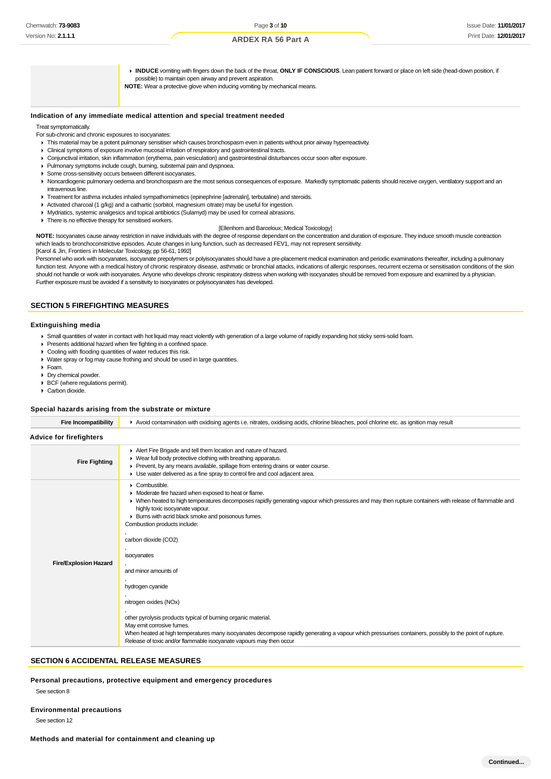**INDUCE** vomiting with fingers down the back of the throat, **ONLY IF CONSCIOUS**. Lean patient forward or place on left side (head-down position, if possible) to maintain open airway and prevent aspiration. **NOTE:** Wear a protective glove when inducing vomiting by mechanical means.

### **Indication of any immediate medical attention and special treatment needed**

Treat symptomatically.

For sub-chronic and chronic exposures to isocyanates:

- This material may be a potent pulmonary sensitiser which causes bronchospasm even in patients without prior airway hyperreactivity.
- Clinical symptoms of exposure involve mucosal irritation of respiratory and gastrointestinal tracts.
- Conjunctival irritation, skin inflammation (erythema, pain vesiculation) and gastrointestinal disturbances occur soon after exposure.
- Pulmonary symptoms include cough, burning, substernal pain and dyspnoea.
- Some cross-sensitivity occurs between different isocyanates.
- ▶ Noncardiogenic pulmonary oedema and bronchospasm are the most serious consequences of exposure. Markedly symptomatic patients should receive oxygen, ventilatory support and an intravenous line.
- Treatment for asthma includes inhaled sympathomimetics (epinephrine [adrenalin], terbutaline) and steroids.
- Activated charcoal (1 g/kg) and a cathartic (sorbitol, magnesium citrate) may be useful for ingestion.
- Mydriatics, systemic analgesics and topical antibiotics (Sulamyd) may be used for corneal abrasions.
- **There is no effective therapy for sensitised workers.**

### [Ellenhorn and Barceloux; Medical Toxicology]

**NOTE:** Isocyanates cause airway restriction in naive individuals with the degree of response dependant on the concentration and duration of exposure. They induce smooth muscle contraction which leads to bronchoconstrictive episodes. Acute changes in lung function, such as decreased FEV1, may not represent sensitivity. [Karol & Jin, Frontiers in Molecular Toxicology, pp 56-61, 1992]

Personnel who work with isocyanates, isocyanate prepolymers or polyisocyanates should have a pre-placement medical examination and periodic examinations thereafter, including a pulmonary function test. Anyone with a medical history of chronic respiratory disease, asthmatic or bronchial attacks, indications of allergic responses, recurrent eczema or sensitisation conditions of the skin should not handle or work with isocyanates. Anyone who develops chronic respiratory distress when working with isocyanates should be removed from exposure and examined by a physician. Further exposure must be avoided if a sensitivity to isocyanates or polyisocyanates has developed.

### **SECTION 5 FIREFIGHTING MEASURES**

#### **Extinguishing media**

- Small quantities of water in contact with hot liquid may react violently with generation of a large volume of rapidly expanding hot sticky semi-solid foam.
- Presents additional hazard when fire fighting in a confined space.
- ▶ Cooling with flooding quantities of water reduces this risk.
- Water spray or fog may cause frothing and should be used in large quantities.
- Foam.
- Dry chemical powder.
- ▶ BCF (where regulations permit).
- Carbon dioxide.

#### **Special hazards arising from the substrate or mixture**

| <b>Fire Incompatibility</b>    | Avoid contamination with oxidising agents i.e. nitrates, oxidising acids, chlorine bleaches, pool chlorine etc. as ignition may result                                                                                                                                                                                                                                                                                                                                                                                                                                                                                                                                                                                                                                                               |  |  |
|--------------------------------|------------------------------------------------------------------------------------------------------------------------------------------------------------------------------------------------------------------------------------------------------------------------------------------------------------------------------------------------------------------------------------------------------------------------------------------------------------------------------------------------------------------------------------------------------------------------------------------------------------------------------------------------------------------------------------------------------------------------------------------------------------------------------------------------------|--|--|
| <b>Advice for firefighters</b> |                                                                                                                                                                                                                                                                                                                                                                                                                                                                                                                                                                                                                                                                                                                                                                                                      |  |  |
| <b>Fire Fighting</b>           | Alert Fire Brigade and tell them location and nature of hazard.<br>• Wear full body protective clothing with breathing apparatus.<br>▶ Prevent, by any means available, spillage from entering drains or water course.<br>• Use water delivered as a fine spray to control fire and cool adjacent area.                                                                                                                                                                                                                                                                                                                                                                                                                                                                                              |  |  |
| <b>Fire/Explosion Hazard</b>   | • Combustible.<br>• Moderate fire hazard when exposed to heat or flame.<br>• When heated to high temperatures decomposes rapidly generating vapour which pressures and may then rupture containers with release of flammable and<br>highly toxic isocyanate vapour.<br>Burns with acrid black smoke and poisonous fumes.<br>Combustion products include:<br>carbon dioxide (CO2)<br>isocyanates<br>and minor amounts of<br>hydrogen cyanide<br>nitrogen oxides (NOx)<br>other pyrolysis products typical of burning organic material.<br>May emit corrosive fumes.<br>When heated at high temperatures many isocyanates decompose rapidly generating a vapour which pressurises containers, possibly to the point of rupture.<br>Release of toxic and/or flammable isocyanate vapours may then occur |  |  |

### **SECTION 6 ACCIDENTAL RELEASE MEASURES**

**Personal precautions, protective equipment and emergency procedures**

#### See section 8

**Environmental precautions**

See section 12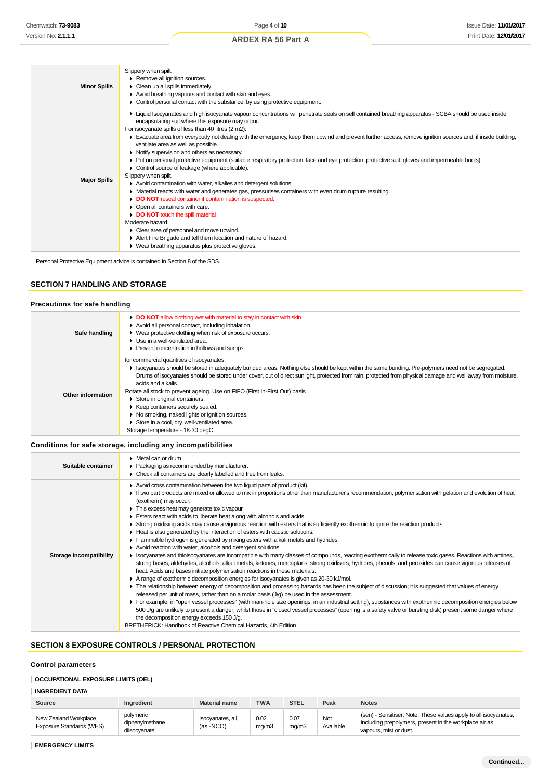| <b>Minor Spills</b> | Slippery when spilt.<br>Remove all ignition sources.<br>$\triangleright$ Clean up all spills immediately.<br>Avoid breathing vapours and contact with skin and eyes.<br>$\triangleright$ Control personal contact with the substance, by using protective equipment.                                                                                                                                                                                                                                                                                                                                                                                                                                                                                                                                                                                                                                                                                                                                                                                                                                                                                                                                                                                                                  |
|---------------------|---------------------------------------------------------------------------------------------------------------------------------------------------------------------------------------------------------------------------------------------------------------------------------------------------------------------------------------------------------------------------------------------------------------------------------------------------------------------------------------------------------------------------------------------------------------------------------------------------------------------------------------------------------------------------------------------------------------------------------------------------------------------------------------------------------------------------------------------------------------------------------------------------------------------------------------------------------------------------------------------------------------------------------------------------------------------------------------------------------------------------------------------------------------------------------------------------------------------------------------------------------------------------------------|
| <b>Major Spills</b> | E Liquid Isocyanates and high isocyanate vapour concentrations will penetrate seals on self contained breathing apparatus - SCBA should be used inside<br>encapsulating suit where this exposure may occur.<br>For isocyanate spills of less than 40 litres (2 m2):<br>Evacuate area from everybody not dealing with the emergency, keep them upwind and prevent further access, remove ignition sources and, if inside building,<br>ventilate area as well as possible.<br>• Notify supervision and others as necessary.<br>• Put on personal protective equipment (suitable respiratory protection, face and eye protection, protective suit, gloves and impermeable boots).<br>• Control source of leakage (where applicable).<br>Slippery when spilt.<br>Avoid contamination with water, alkalies and detergent solutions.<br>• Material reacts with water and generates gas, pressurises containers with even drum rupture resulting.<br>DO NOT reseal container if contamination is suspected.<br>• Open all containers with care.<br>DO NOT touch the spill material<br>Moderate hazard.<br>$\triangleright$ Clear area of personnel and move upwind.<br>Alert Fire Brigade and tell them location and nature of hazard.<br>▶ Wear breathing apparatus plus protective gloves. |

Personal Protective Equipment advice is contained in Section 8 of the SDS.

# **SECTION 7 HANDLING AND STORAGE**

### **Precautions for safe handling**

| Safe handling     | DO NOT allow clothing wet with material to stay in contact with skin<br>Avoid all personal contact, including inhalation.<br>• Wear protective clothing when risk of exposure occurs.<br>$\blacktriangleright$ Use in a well-ventilated area.<br>▶ Prevent concentration in hollows and sumps.                                                                                                                                                                                                                                                                                                                                                                                      |
|-------------------|-------------------------------------------------------------------------------------------------------------------------------------------------------------------------------------------------------------------------------------------------------------------------------------------------------------------------------------------------------------------------------------------------------------------------------------------------------------------------------------------------------------------------------------------------------------------------------------------------------------------------------------------------------------------------------------|
| Other information | for commercial quantities of isocyanates:<br>In Isocyanates should be stored in adequately bunded areas. Nothing else should be kept within the same bunding. Pre-polymers need not be segregated.<br>Drums of isocyanates should be stored under cover, out of direct sunlight, protected from rain, protected from physical damage and well away from moisture,<br>acids and alkalis.<br>Rotate all stock to prevent ageing. Use on FIFO (First In-First Out) basis<br>Store in original containers.<br>▶ Keep containers securely sealed.<br>▶ No smoking, naked lights or ignition sources.<br>Store in a cool, dry, well-ventilated area.<br>Storage temperature - 18-30 degC. |

# **Conditions for safe storage, including any incompatibilities**

| Suitable container      | • Metal can or drum<br>• Packaging as recommended by manufacturer.<br>• Check all containers are clearly labelled and free from leaks.                                                                                                                                                                                                                                                                                                                                                                                                                                                                                                                                                                                                                                                                                                                                                                                                                                                                                                                                                                                                                                                                                                                                                                                                                                                                                                                                                                                                                                                                                                                                                                                                                                                                                                                                                                                                                                  |
|-------------------------|-------------------------------------------------------------------------------------------------------------------------------------------------------------------------------------------------------------------------------------------------------------------------------------------------------------------------------------------------------------------------------------------------------------------------------------------------------------------------------------------------------------------------------------------------------------------------------------------------------------------------------------------------------------------------------------------------------------------------------------------------------------------------------------------------------------------------------------------------------------------------------------------------------------------------------------------------------------------------------------------------------------------------------------------------------------------------------------------------------------------------------------------------------------------------------------------------------------------------------------------------------------------------------------------------------------------------------------------------------------------------------------------------------------------------------------------------------------------------------------------------------------------------------------------------------------------------------------------------------------------------------------------------------------------------------------------------------------------------------------------------------------------------------------------------------------------------------------------------------------------------------------------------------------------------------------------------------------------------|
| Storage incompatibility | Avoid cross contamination between the two liquid parts of product (kit).<br>If two part products are mixed or allowed to mix in proportions other than manufacturer's recommendation, polymerisation with gelation and evolution of heat<br>(exotherm) may occur.<br>This excess heat may generate toxic vapour<br>Esters react with acids to liberate heat along with alcohols and acids.<br>► Strong oxidising acids may cause a vigorous reaction with esters that is sufficiently exothermic to ignite the reaction products.<br>► Heat is also generated by the interaction of esters with caustic solutions.<br>Flammable hydrogen is generated by mixing esters with alkali metals and hydrides.<br>Avoid reaction with water, alcohols and detergent solutions.<br>► Isocyanates and thioisocyanates are incompatible with many classes of compounds, reacting exothermically to release toxic gases. Reactions with amines,<br>strong bases, aldehydes, alcohols, alkali metals, ketones, mercaptans, strong oxidisers, hydrides, phenols, and peroxides can cause vigorous releases of<br>heat. Acids and bases initiate polymerisation reactions in these materials.<br>A range of exothermic decomposition energies for isocyanates is given as 20-30 kJ/mol.<br>• The relationship between energy of decomposition and processing hazards has been the subject of discussion; it is suggested that values of energy<br>released per unit of mass, rather than on a molar basis $(J/q)$ be used in the assessment.<br>For example, in "open vessel processes" (with man-hole size openings, in an industrial setting), substances with exothermic decomposition energies below<br>500 J/g are unlikely to present a danger, whilst those in "closed vessel processes" (opening is a safety valve or bursting disk) present some danger where<br>the decomposition energy exceeds 150 J/g.<br>BRETHERICK: Handbook of Reactive Chemical Hazards, 4th Edition |

# **SECTION 8 EXPOSURE CONTROLS / PERSONAL PROTECTION**

### **Control parameters**

# **OCCUPATIONAL EXPOSURE LIMITS (OEL)**

### **INGREDIENT DATA**

| Source                                            | <b>Ingredient</b>                           | Material name                  | <b>TWA</b>    | <b>STEL</b>   | Peak             | <b>Notes</b>                                                                                                                                         |
|---------------------------------------------------|---------------------------------------------|--------------------------------|---------------|---------------|------------------|------------------------------------------------------------------------------------------------------------------------------------------------------|
| New Zealand Workplace<br>Exposure Standards (WES) | polymeric<br>diphenvlmethane<br>disocvanate | Isocyanates, all,<br>(as -NCO) | 0.02<br>ma/m3 | 0.07<br>mg/m3 | Not<br>Available | (sen) - Sensitiser; Note: These values apply to all isocyanates,<br>including prepolymers, present in the workplace air as<br>vapours, mist or dust. |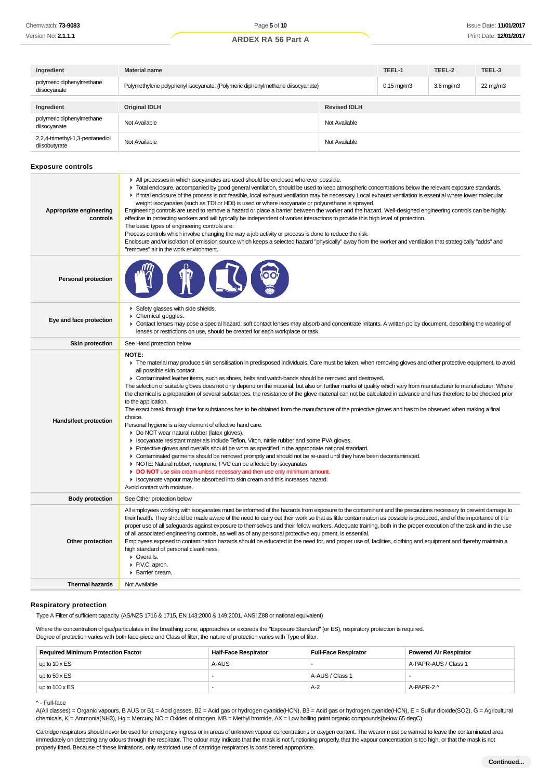| Ingredient                                       | <b>Material name</b>                                                          | TEEL-1              | TEEL-2                | TEEL-3             |                   |
|--------------------------------------------------|-------------------------------------------------------------------------------|---------------------|-----------------------|--------------------|-------------------|
| polymeric diphenylmethane<br>diisocyanate        | Polymethylene polyphenyl isocyanate; (Polymeric diphenylmethane diisocyanate) |                     | $0.15 \text{ mg/m}$ 3 | $3.6 \text{ mg/m}$ | $22 \text{ mg/m}$ |
|                                                  |                                                                               |                     |                       |                    |                   |
| Ingredient                                       | <b>Original IDLH</b>                                                          | <b>Revised IDLH</b> |                       |                    |                   |
| polymeric diphenylmethane<br>diisocyanate        | Not Available                                                                 | Not Available       |                       |                    |                   |
| 2,2,4-trimethyl-1,3-pentanediol<br>diisobutyrate | Not Available                                                                 | Not Available       |                       |                    |                   |

### **Exposure controls**

| Appropriate engineering<br>controls | All processes in which isocyanates are used should be enclosed wherever possible.<br>• Total enclosure, accompanied by good general ventilation, should be used to keep atmospheric concentrations below the relevant exposure standards.<br>If total enclosure of the process is not feasible, local exhaust ventilation may be necessary. Local exhaust ventilation is essential where lower molecular<br>weight isocyanates (such as TDI or HDI) is used or where isocyanate or polyurethane is sprayed.<br>Engineering controls are used to remove a hazard or place a barrier between the worker and the hazard. Well-designed engineering controls can be highly<br>effective in protecting workers and will typically be independent of worker interactions to provide this high level of protection.<br>The basic types of engineering controls are:<br>Process controls which involve changing the way a job activity or process is done to reduce the risk.<br>Enclosure and/or isolation of emission source which keeps a selected hazard "physically" away from the worker and ventilation that strategically "adds" and<br>"removes" air in the work environment.                                                                                                                                                                                                                                                                                                                                                                                   |
|-------------------------------------|------------------------------------------------------------------------------------------------------------------------------------------------------------------------------------------------------------------------------------------------------------------------------------------------------------------------------------------------------------------------------------------------------------------------------------------------------------------------------------------------------------------------------------------------------------------------------------------------------------------------------------------------------------------------------------------------------------------------------------------------------------------------------------------------------------------------------------------------------------------------------------------------------------------------------------------------------------------------------------------------------------------------------------------------------------------------------------------------------------------------------------------------------------------------------------------------------------------------------------------------------------------------------------------------------------------------------------------------------------------------------------------------------------------------------------------------------------------------------------------------------------------------------------------------------------------|
| <b>Personal protection</b>          |                                                                                                                                                                                                                                                                                                                                                                                                                                                                                                                                                                                                                                                                                                                                                                                                                                                                                                                                                                                                                                                                                                                                                                                                                                                                                                                                                                                                                                                                                                                                                                  |
| Eye and face protection             | Safety glasses with side shields.<br>▶ Chemical goggles.<br>• Contact lenses may pose a special hazard; soft contact lenses may absorb and concentrate irritants. A written policy document, describing the wearing of<br>lenses or restrictions on use, should be created for each workplace or task.                                                                                                                                                                                                                                                                                                                                                                                                                                                                                                                                                                                                                                                                                                                                                                                                                                                                                                                                                                                                                                                                                                                                                                                                                                                           |
| <b>Skin protection</b>              | See Hand protection below                                                                                                                                                                                                                                                                                                                                                                                                                                                                                                                                                                                                                                                                                                                                                                                                                                                                                                                                                                                                                                                                                                                                                                                                                                                                                                                                                                                                                                                                                                                                        |
| Hands/feet protection               | <b>NOTE:</b><br>The material may produce skin sensitisation in predisposed individuals. Care must be taken, when removing gloves and other protective equipment, to avoid<br>all possible skin contact.<br>► Contaminated leather items, such as shoes, belts and watch-bands should be removed and destroyed.<br>The selection of suitable gloves does not only depend on the material, but also on further marks of quality which vary from manufacturer to manufacturer. Where<br>the chemical is a preparation of several substances, the resistance of the glove material can not be calculated in advance and has therefore to be checked prior<br>to the application.<br>The exact break through time for substances has to be obtained from the manufacturer of the protective gloves and has to be observed when making a final<br>choice.<br>Personal hygiene is a key element of effective hand care.<br>Do NOT wear natural rubber (latex gloves).<br>In Isocyanate resistant materials include Teflon, Viton, nitrile rubber and some PVA gloves.<br>• Protective gloves and overalls should be worn as specified in the appropriate national standard.<br>• Contaminated garments should be removed promptly and should not be re-used until they have been decontaminated.<br>• NOTE: Natural rubber, neoprene, PVC can be affected by isocyanates<br>DO NOT use skin cream unless necessary and then use only minimum amount.<br>In Isocyanate vapour may be absorbed into skin cream and this increases hazard.<br>Avoid contact with moisture. |
| <b>Body protection</b>              | See Other protection below                                                                                                                                                                                                                                                                                                                                                                                                                                                                                                                                                                                                                                                                                                                                                                                                                                                                                                                                                                                                                                                                                                                                                                                                                                                                                                                                                                                                                                                                                                                                       |
| Other protection                    | All employees working with isocyanates must be informed of the hazards from exposure to the contaminant and the precautions necessary to prevent damage to<br>their health. They should be made aware of the need to carry out their work so that as little contamination as possible is produced, and of the importance of the<br>proper use of all safeguards against exposure to themselves and their fellow workers. Adequate training, both in the proper execution of the task and in the use<br>of all associated engineering controls, as well as of any personal protective equipment, is essential.<br>Employees exposed to contamination hazards should be educated in the need for, and proper use of, facilities, clothing and equipment and thereby maintain a<br>high standard of personal cleanliness.<br>• Overalls.<br>P.V.C. apron.<br>▶ Barrier cream.                                                                                                                                                                                                                                                                                                                                                                                                                                                                                                                                                                                                                                                                                       |
| <b>Thermal hazards</b>              | Not Available                                                                                                                                                                                                                                                                                                                                                                                                                                                                                                                                                                                                                                                                                                                                                                                                                                                                                                                                                                                                                                                                                                                                                                                                                                                                                                                                                                                                                                                                                                                                                    |

#### **Respiratory protection**

Type A Filter of sufficient capacity. (AS/NZS 1716 & 1715, EN 143:2000 & 149:2001, ANSI Z88 or national equivalent)

Where the concentration of gas/particulates in the breathing zone, approaches or exceeds the "Exposure Standard" (or ES), respiratory protection is required. Degree of protection varies with both face-piece and Class of filter; the nature of protection varies with Type of filter.

| <b>Required Minimum Protection Factor</b> | <b>Half-Face Respirator</b> | <b>Full-Face Respirator</b> | <b>Powered Air Respirator</b> |  |
|-------------------------------------------|-----------------------------|-----------------------------|-------------------------------|--|
| up to $10 \times ES$                      | A-AUS                       |                             | A-PAPR-AUS / Class 1          |  |
| up to $50 \times ES$                      |                             | A-AUS / Class 1             |                               |  |
| up to $100 \times ES$                     |                             | $A-2$                       | A-PAPR-2 ^                    |  |

#### ^ - Full-face

A(All classes) = Organic vapours, B AUS or B1 = Acid gasses, B2 = Acid gas or hydrogen cyanide(HCN), B3 = Acid gas or hydrogen cyanide(HCN), E = Sulfur dioxide(SO2), G = Agricultural chemicals, K = Ammonia(NH3), Hg = Mercury, NO = Oxides of nitrogen, MB = Methyl bromide, AX = Low boiling point organic compounds(below 65 degC)

Cartridge respirators should never be used for emergency ingress or in areas of unknown vapour concentrations or oxygen content. The wearer must be warned to leave the contaminated area immediately on detecting any odours through the respirator. The odour may indicate that the mask is not functioning properly, that the vapour concentration is too high, or that the mask is not properly fitted. Because of these limitations, only restricted use of cartridge respirators is considered appropriate.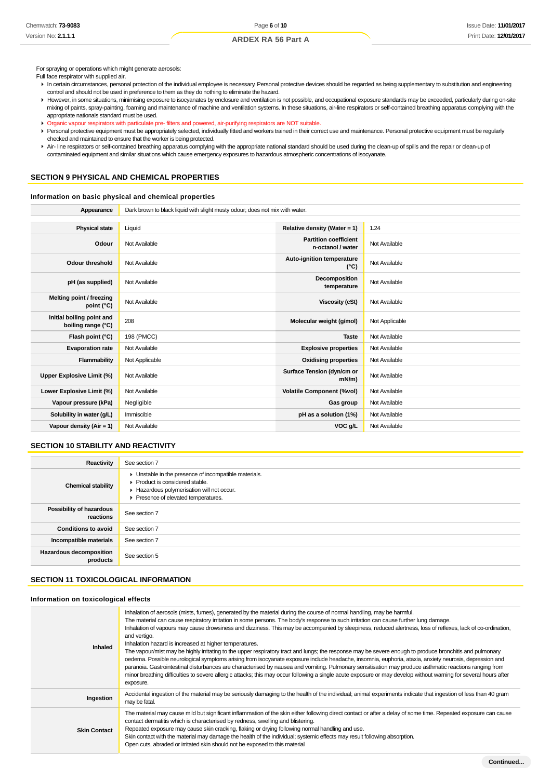For spraying or operations which might generate aerosols:

Full face respirator with supplied air.

- In certain circumstances, personal protection of the individual employee is necessary. Personal protective devices should be regarded as being supplementary to substitution and engineering control and should not be used in preference to them as they do nothing to eliminate the hazard.
- However, in some situations, minimising exposure to isocyanates by enclosure and ventilation is not possible, and occupational exposure standards may be exceeded, particularly during on-site mixing of paints, spray-painting, foaming and maintenance of machine and ventilation systems. In these situations, air-line respirators or self-contained breathing apparatus complying with the appropriate nationals standard must be used.
- Organic vapour respirators with particulate pre- filters and powered, air-purifying respirators are NOT suitable.
- Personal protective equipment must be appropriately selected, individually fitted and workers trained in their correct use and maintenance. Personal protective equipment must be regularly checked and maintained to ensure that the worker is being protected.
- Air- line respirators or self-contained breathing apparatus complying with the appropriate national standard should be used during the clean-up of spills and the repair or clean-up of contaminated equipment and similar situations which cause emergency exposures to hazardous atmospheric concentrations of isocyanate.

# **SECTION 9 PHYSICAL AND CHEMICAL PROPERTIES**

### **Information on basic physical and chemical properties**

| Appearance                                      | Dark brown to black liquid with slight musty odour; does not mix with water. |                                                   |                |  |  |
|-------------------------------------------------|------------------------------------------------------------------------------|---------------------------------------------------|----------------|--|--|
|                                                 |                                                                              |                                                   |                |  |  |
| <b>Physical state</b>                           | Liquid                                                                       | Relative density (Water = $1$ )                   | 1.24           |  |  |
| Odour                                           | Not Available                                                                | <b>Partition coefficient</b><br>n-octanol / water | Not Available  |  |  |
| <b>Odour threshold</b>                          | Not Available                                                                | Auto-ignition temperature<br>$(^{\circ}C)$        | Not Available  |  |  |
| pH (as supplied)                                | Not Available                                                                | Decomposition<br>temperature                      | Not Available  |  |  |
| Melting point / freezing<br>point (°C)          | Not Available                                                                | <b>Viscosity (cSt)</b>                            | Not Available  |  |  |
| Initial boiling point and<br>boiling range (°C) | 208                                                                          | Molecular weight (g/mol)                          | Not Applicable |  |  |
| Flash point (°C)                                | 198 (PMCC)                                                                   | <b>Taste</b>                                      | Not Available  |  |  |
| <b>Evaporation rate</b>                         | Not Available                                                                | <b>Explosive properties</b>                       | Not Available  |  |  |
| Flammability                                    | Not Applicable                                                               | <b>Oxidising properties</b>                       | Not Available  |  |  |
| Upper Explosive Limit (%)                       | Not Available                                                                | Surface Tension (dyn/cm or<br>$mN/m$ )            | Not Available  |  |  |
| Lower Explosive Limit (%)                       | Not Available                                                                | <b>Volatile Component (%vol)</b>                  | Not Available  |  |  |
| Vapour pressure (kPa)                           | Negligible                                                                   | Gas group                                         | Not Available  |  |  |
| Solubility in water (g/L)                       | Immiscible                                                                   | pH as a solution (1%)                             | Not Available  |  |  |
| Vapour density ( $Air = 1$ )                    | Not Available                                                                | VOC g/L                                           | Not Available  |  |  |

### **SECTION 10 STABILITY AND REACTIVITY**

| Reactivity                            | See section 7                                                                                                                                                              |
|---------------------------------------|----------------------------------------------------------------------------------------------------------------------------------------------------------------------------|
| <b>Chemical stability</b>             | • Unstable in the presence of incompatible materials.<br>▶ Product is considered stable.<br>Hazardous polymerisation will not occur.<br>Presence of elevated temperatures. |
| Possibility of hazardous<br>reactions | See section 7                                                                                                                                                              |
| <b>Conditions to avoid</b>            | See section 7                                                                                                                                                              |
| Incompatible materials                | See section 7                                                                                                                                                              |
| Hazardous decomposition<br>products   | See section 5                                                                                                                                                              |

# **SECTION 11 TOXICOLOGICAL INFORMATION**

#### **Information on toxicological effects**

| Inhalation of aerosols (mists, fumes), generated by the material during the course of normal handling, may be harmful.<br>The material can cause respiratory irritation in some persons. The body's response to such irritation can cause further lung damage.<br>Inhalation of vapours may cause drowsiness and dizziness. This may be accompanied by sleepiness, reduced alertness, loss of reflexes, lack of co-ordination,<br>and vertigo.<br>Inhalation hazard is increased at higher temperatures.<br>The vapour/mist may be highly irritating to the upper respiratory tract and lungs; the response may be severe enough to produce bronchitis and pulmonary<br>oedema. Possible neurological symptoms arising from isocyanate exposure include headache, insomnia, euphoria, ataxia, anxiety neurosis, depression and<br>paranoia. Gastrointestinal disturbances are characterised by nausea and vomiting. Pulmonary sensitisation may produce asthmatic reactions ranging from<br>minor breathing difficulties to severe allergic attacks; this may occur following a single acute exposure or may develop without warning for several hours after<br>exposure. |
|---------------------------------------------------------------------------------------------------------------------------------------------------------------------------------------------------------------------------------------------------------------------------------------------------------------------------------------------------------------------------------------------------------------------------------------------------------------------------------------------------------------------------------------------------------------------------------------------------------------------------------------------------------------------------------------------------------------------------------------------------------------------------------------------------------------------------------------------------------------------------------------------------------------------------------------------------------------------------------------------------------------------------------------------------------------------------------------------------------------------------------------------------------------------------|
| Accidental ingestion of the material may be seriously damaging to the health of the individual; animal experiments indicate that ingestion of less than 40 gram<br>may be fatal.                                                                                                                                                                                                                                                                                                                                                                                                                                                                                                                                                                                                                                                                                                                                                                                                                                                                                                                                                                                          |
| The material may cause mild but significant inflammation of the skin either following direct contact or after a delay of some time. Repeated exposure can cause<br>contact dermatitis which is characterised by redness, swelling and blistering.<br>Repeated exposure may cause skin cracking, flaking or drying following normal handling and use.<br>Skin contact with the material may damage the health of the individual; systemic effects may result following absorption.<br>Open cuts, abraded or irritated skin should not be exposed to this material                                                                                                                                                                                                                                                                                                                                                                                                                                                                                                                                                                                                          |
|                                                                                                                                                                                                                                                                                                                                                                                                                                                                                                                                                                                                                                                                                                                                                                                                                                                                                                                                                                                                                                                                                                                                                                           |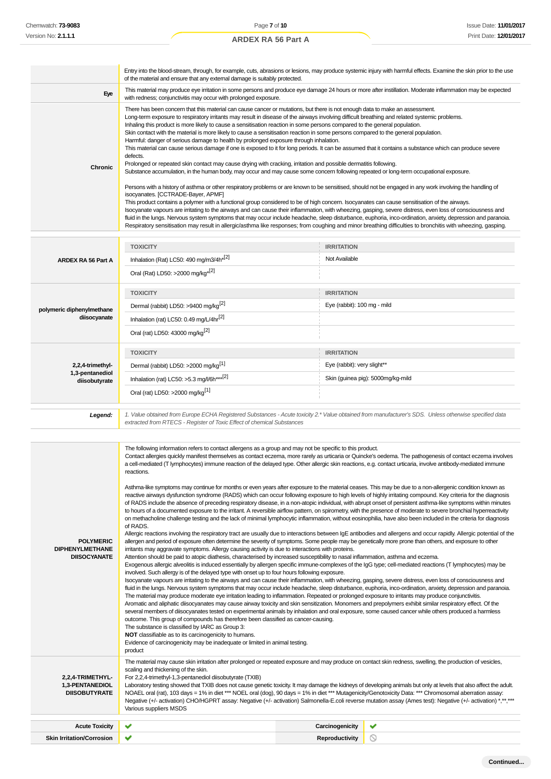#### Entry into the blood-stream, through, for example, cuts, abrasions or lesions, may produce systemic injury with harmful effects. Examine the skin prior to the use of the material and ensure that any external damage is suitably protected. **Eye** This material may produce eye irritation in some persons and produce eye damage 24 hours or more after instillation. Moderate inflammation may be expected with redness; conjunctivitis may occur with prolonged exposure. There has been concern that this material can cause cancer or mutations, but there is not enough data to make an assessment. Long-term exposure to respiratory irritants may result in disease of the airways involving difficult breathing and related systemic problems. Inhaling this product is more likely to cause a sensitisation reaction in some persons compared to the general population. Skin contact with the material is more likely to cause a sensitisation reaction in some persons compared to the general population. Harmful: danger of serious damage to health by prolonged exposure through inhalation. This material can cause serious damage if one is exposed to it for long periods. It can be assumed that it contains a substance which can produce severe defects. Prolonged or repeated skin contact may cause drying with cracking, irritation and possible dermatitis following. **Chronic** Substance accumulation, in the human body, may occur and may cause some concern following repeated or long-term occupational exposure. Persons with a history of asthma or other respiratory problems or are known to be sensitised, should not be engaged in any work involving the handling of isocyanates. [CCTRADE-Bayer, APMF] This product contains a polymer with a functional group considered to be of high concern. Isocyanates can cause sensitisation of the airways. Isocyanate vapours are irritating to the airways and can cause their inflammation, with wheezing, gasping, severe distress, even loss of consciousness and fluid in the lungs. Nervous system symptoms that may occur include headache, sleep disturbance, euphoria, inco-ordination, anxiety, depression and paranoia. Respiratory sensitisation may result in allergic/asthma like responses; from coughing and minor breathing difficulties to bronchitis with wheezing, gasping. **TOXICITY IRRITATION** Inhalation (Rat) LC50: 490 mg/m3/4h<sup>\*[2]</sup>  $\blacksquare$  Not Available **ARDEX RA 56 Part A** Oral (Rat) LD50: >2000 mg/kg\*[2] **TOXICITY IRRITATION** Dermal (rabbit) LD50: >9400 mg/kg<sup>[2]</sup> execution of the state of the state of the state of the state of the state of the state of the state of the state of the state of the state of the state of the state of the state of t **polymeric diphenylmethane diisocyanate** Inhalation (rat) LC50: 0.49 mg/L/4hr[2] Oral (rat) LD50: 43000 mg/kg[2] **TOXICITY IRRITATION 2,2,4-trimethyl-**Dermal (rabbit) LD50: >2000 mg/kg<sup>[1]</sup> execution of the state of the state of the state of the state of the state of the state of the state of the state of the state of the state of the state of the state of the state of t **1,3-pentanediol** Inhalation (rat) LC50: >5.3 mg/l/6h\*\*\*<sup>[2]</sup> Skin (guinea pig): 5000mg/kg-mild **diisobutyrate** Oral (rat) LD50: >2000 mg/kg[1] **Legend:** 1. Value obtained from Europe ECHA Registered Substances - Acute toxicity 2.\* Value obtained from manufacturer's SDS. Unless otherwise specified data extracted from RTECS - Register of Toxic Effect of chemical Substances The following information refers to contact allergens as a group and may not be specific to this product. Contact allergies quickly manifest themselves as contact eczema, more rarely as urticaria or Quincke's oedema. The pathogenesis of contact eczema involves a cell-mediated (T lymphocytes) immune reaction of the delayed type. Other allergic skin reactions, e.g. contact urticaria, involve antibody-mediated immune reactions. Asthma-like symptoms may continue for months or even years after exposure to the material ceases. This may be due to a non-allergenic condition known as reactive airways dysfunction syndrome (RADS) which can occur following exposure to high levels of highly irritating compound. Key criteria for the diagnosis of RADS include the absence of preceding respiratory disease, in a non-atopic individual, with abrupt onset of persistent asthma-like symptoms within minutes to hours of a documented exposure to the irritant. A reversible airflow pattern, on spirometry, with the presence of moderate to severe bronchial hyperreactivity on methacholine challenge testing and the lack of minimal lymphocytic inflammation, without eosinophilia, have also been included in the criteria for diagnosis of RADS. Allergic reactions involving the respiratory tract are usually due to interactions between IgE antibodies and allergens and occur rapidly. Allergic potential of the **POLYMERIC** allergen and period of exposure often determine the severity of symptoms. Some people may be genetically more prone than others, and exposure to other **DIPHENYLMETHANE** irritants may aggravate symptoms. Allergy causing activity is due to interactions with proteins. **DIISOCYANATE** Attention should be paid to atopic diathesis, characterised by increased susceptibility to nasal inflammation, asthma and eczema. Exogenous allergic alveolitis is induced essentially by allergen specific immune-complexes of the IgG type; cell-mediated reactions (T lymphocytes) may be involved. Such allergy is of the delayed type with onset up to four hours following exposure. Isocyanate vapours are irritating to the airways and can cause their inflammation, with wheezing, gasping, severe distress, even loss of consciousness and fluid in the lungs. Nervous system symptoms that may occur include headache, sleep disturbance, euphoria, inco-ordination, anxiety, depression and paranoia. The material may produce moderate eye irritation leading to inflammation. Repeated or prolonged exposure to irritants may produce conjunctivitis. Aromatic and aliphatic diisocyanates may cause airway toxicity and skin sensitization. Monomers and prepolymers exhibit similar respiratory effect. Of the several members of diisocyanates tested on experimental animals by inhalation and oral exposure, some caused cancer while others produced a harmless outcome. This group of compounds has therefore been classified as cancer-causing. The substance is classified by IARC as Group 3: **NOT** classifiable as to its carcinogenicity to humans. Evidence of carcinogenicity may be inadequate or limited in animal testing. product The material may cause skin irritation after prolonged or repeated exposure and may produce on contact skin redness, swelling, the production of vesicles, scaling and thickening of the skin. **2,2,4-TRIMETHYL-**For 2,2,4-trimethyl-1,3-pentanediol diisobutyrate (TXIB) **1,3-PENTANEDIOL** Laboratory testing showed that TXIB does not cause genetic toxicity. It may damage the kidneys of developing animals but only at levels that also affect the adult. **DIISOBUTYRATE** NOAEL oral (rat), 103 days = 1% in diet \*\*\* NOEL oral (dog), 90 days = 1% in diet \*\*\* Mutagenicity/Genotoxicity Data: \*\*\* Chromosomal aberration assay: Negative (+/- activation) CHO/HGPRT assay: Negative (+/- activation) Salmonella-E.coli reverse mutation assay (Ames test): Negative (+/- activation) \*,\*\*,\*\*\* Various suppliers MSDS **Acute Toxicity Carcinogenicity**  $\overline{\mathbf{v}}$

**Skin Irritation/Corrosion Reproductivity**

 $\circ$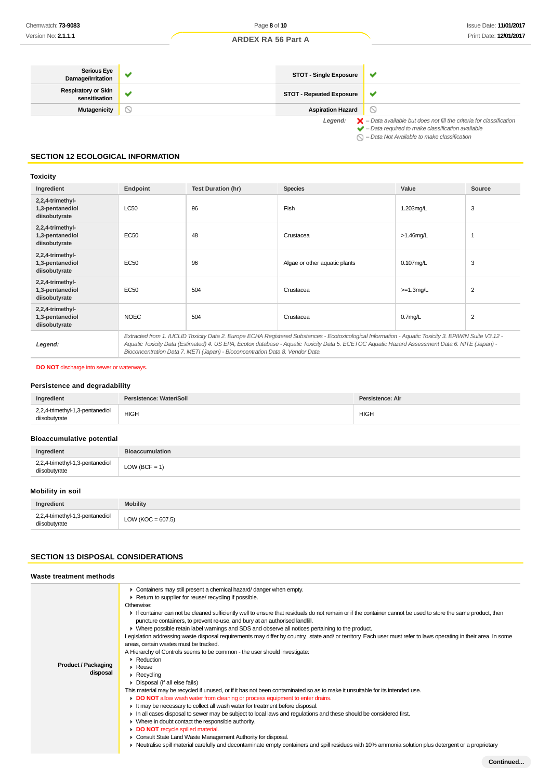| Serious Eye<br>Damage/Irritation            | <b>STOT - Single Exposure</b>   | M                                                                                                                                                                  |
|---------------------------------------------|---------------------------------|--------------------------------------------------------------------------------------------------------------------------------------------------------------------|
| <b>Respiratory or Skin</b><br>sensitisation | <b>STOT - Repeated Exposure</b> |                                                                                                                                                                    |
| Mutagenicity                                | <b>Aspiration Hazard</b>        |                                                                                                                                                                    |
|                                             | Legend:                         | $\blacktriangleright$ - Data available but does not fill the criteria for classification<br>$\blacktriangleright$ - Data required to make classification available |

 $\bigcirc$  – Data Not Available to make classification

# **SECTION 12 ECOLOGICAL INFORMATION**

# **Toxicity**

| Ingredient                                           | Endpoint    | <b>Test Duration (hr)</b>                                                    | <b>Species</b>                                                                                                                                                                                                                                                                                           | Value               | Source         |
|------------------------------------------------------|-------------|------------------------------------------------------------------------------|----------------------------------------------------------------------------------------------------------------------------------------------------------------------------------------------------------------------------------------------------------------------------------------------------------|---------------------|----------------|
| 2,2,4-trimethyl-<br>1,3-pentanediol<br>diisobutyrate | <b>LC50</b> | 96                                                                           | Fish                                                                                                                                                                                                                                                                                                     | 1.203mg/L           | 3              |
| 2,2,4-trimethyl-<br>1,3-pentanediol<br>diisobutyrate | EC50        | 48                                                                           | Crustacea                                                                                                                                                                                                                                                                                                | $>1.46$ mg/L        |                |
| 2,2,4-trimethyl-<br>1,3-pentanediol<br>diisobutyrate | EC50        | 96                                                                           | Algae or other aquatic plants                                                                                                                                                                                                                                                                            | $0.107$ mg/L        | 3              |
| 2,2,4-trimethyl-<br>1,3-pentanediol<br>diisobutyrate | EC50        | 504                                                                          | Crustacea                                                                                                                                                                                                                                                                                                | $>=1.3$ mg/L        | $\overline{2}$ |
| 2,2,4-trimethyl-<br>1,3-pentanediol<br>diisobutyrate | <b>NOEC</b> | 504                                                                          | Crustacea                                                                                                                                                                                                                                                                                                | 0.7 <sub>mq/L</sub> | 2              |
| Legend:                                              |             | Bioconcentration Data 7. METI (Japan) - Bioconcentration Data 8. Vendor Data | Extracted from 1. IUCLID Toxicity Data 2. Europe ECHA Registered Substances - Ecotoxicological Information - Aquatic Toxicity 3. EPIWIN Suite V3.12 -<br>Aquatic Toxicity Data (Estimated) 4. US EPA, Ecotox database - Aquatic Toxicity Data 5. ECETOC Aquatic Hazard Assessment Data 6. NITE (Japan) - |                     |                |

### **DO NOT** discharge into sewer or waterways.

### **Persistence and degradability**

| Ingredient                      | Persistence: Water/Soil | Persistence: Air |
|---------------------------------|-------------------------|------------------|
| 2,2,4-trimethyl-1,3-pentanediol | <b>HIGH</b>             | <b>HIGH</b>      |
| diisobutvrate                   |                         |                  |

# **Bioaccumulative potential**

| Ingredient                                       | <b>Bioaccumulation</b> |
|--------------------------------------------------|------------------------|
| 2,2,4-trimethyl-1,3-pentanediol<br>diisobutyrate | $LOW (BCF = 1)$        |

# **Mobility in soil**

| Ingredient                                            | <b>Mobility</b>       |
|-------------------------------------------------------|-----------------------|
| 2,2,4-trimethyl-1,3-pentanediol<br>diisobutyrate<br>. | LOW ( $KOC = 607.5$ ) |

### **SECTION 13 DISPOSAL CONSIDERATIONS**

| Waste treatment methods                |                                                                                                                                                                                                                                                                                                                                                                                                                                                                                                                                                                                                                                                                                                                                                                                                                                                                                                                                                                                                                                                                                                                                                                                                                                                                                                                                                                                                                                                                                                                                                                                                                                                                                     |
|----------------------------------------|-------------------------------------------------------------------------------------------------------------------------------------------------------------------------------------------------------------------------------------------------------------------------------------------------------------------------------------------------------------------------------------------------------------------------------------------------------------------------------------------------------------------------------------------------------------------------------------------------------------------------------------------------------------------------------------------------------------------------------------------------------------------------------------------------------------------------------------------------------------------------------------------------------------------------------------------------------------------------------------------------------------------------------------------------------------------------------------------------------------------------------------------------------------------------------------------------------------------------------------------------------------------------------------------------------------------------------------------------------------------------------------------------------------------------------------------------------------------------------------------------------------------------------------------------------------------------------------------------------------------------------------------------------------------------------------|
| <b>Product / Packaging</b><br>disposal | • Containers may still present a chemical hazard/ danger when empty.<br>Return to supplier for reuse/ recycling if possible.<br>Otherwise:<br>If container can not be cleaned sufficiently well to ensure that residuals do not remain or if the container cannot be used to store the same product, then<br>puncture containers, to prevent re-use, and bury at an authorised landfill.<br>• Where possible retain label warnings and SDS and observe all notices pertaining to the product.<br>Legislation addressing waste disposal requirements may differ by country, state and/ or territory. Each user must refer to laws operating in their area. In some<br>areas, certain wastes must be tracked.<br>A Hierarchy of Controls seems to be common - the user should investigate:<br>$\blacktriangleright$ Reduction<br>$\blacktriangleright$ Reuse<br>$\triangleright$ Recycling<br>$\triangleright$ Disposal (if all else fails)<br>This material may be recycled if unused, or if it has not been contaminated so as to make it unsuitable for its intended use.<br>DO NOT allow wash water from cleaning or process equipment to enter drains.<br>It may be necessary to collect all wash water for treatment before disposal.<br>In all cases disposal to sewer may be subject to local laws and regulations and these should be considered first.<br>• Where in doubt contact the responsible authority.<br>DO NOT recycle spilled material.<br>• Consult State Land Waste Management Authority for disposal.<br>• Neutralise spill material carefully and decontaminate empty containers and spill residues with 10% ammonia solution plus detergent or a proprietary |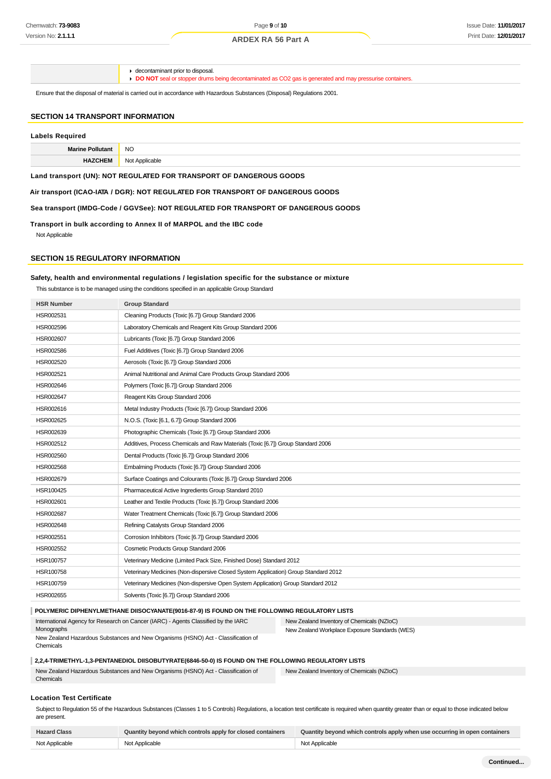decontaminant prior to disposal.

**DO NOT** seal or stopper drums being decontaminated as CO2 gas is generated and may pressurise containers.

Ensure that the disposal of material is carried out in accordance with Hazardous Substances (Disposal) Regulations 2001.

# **SECTION 14 TRANSPORT INFORMATION**

### **Labels Required**

| Morino<br>≅Pollutan. | <b>NO</b>    |
|----------------------|--------------|
| <b>LIA</b>           | Nσ           |
| ┒⊏₩                  | licable      |
| . OM                 | $\mathbf{u}$ |

**Land transport (UN): NOT REGULATED FOR TRANSPORT OF DANGEROUS GOODS**

**Air transport (ICAO-IATA / DGR): NOT REGULATED FOR TRANSPORT OF DANGEROUS GOODS**

**Sea transport (IMDG-Code / GGVSee): NOT REGULATED FOR TRANSPORT OF DANGEROUS GOODS**

**Transport in bulk according to Annex II of MARPOL and the IBC code** Not Applicable

# **SECTION 15 REGULATORY INFORMATION**

### **Safety, health and environmental regulations / legislation specific for the substance or mixture**

This substance is to be managed using the conditions specified in an applicable Group Standard

| <b>HSR Number</b> | <b>Group Standard</b>                                                               |
|-------------------|-------------------------------------------------------------------------------------|
| HSR002531         | Cleaning Products (Toxic [6.7]) Group Standard 2006                                 |
| HSR002596         | Laboratory Chemicals and Reagent Kits Group Standard 2006                           |
| HSR002607         | Lubricants (Toxic [6.7]) Group Standard 2006                                        |
| HSR002586         | Fuel Additives (Toxic [6.7]) Group Standard 2006                                    |
| HSR002520         | Aerosols (Toxic [6.7]) Group Standard 2006                                          |
| HSR002521         | Animal Nutritional and Animal Care Products Group Standard 2006                     |
| HSR002646         | Polymers (Toxic [6.7]) Group Standard 2006                                          |
| <b>HSR002647</b>  | Reagent Kits Group Standard 2006                                                    |
| HSR002616         | Metal Industry Products (Toxic [6.7]) Group Standard 2006                           |
| HSR002625         | N.O.S. (Toxic [6.1, 6.7]) Group Standard 2006                                       |
| HSR002639         | Photographic Chemicals (Toxic [6.7]) Group Standard 2006                            |
| HSR002512         | Additives, Process Chemicals and Raw Materials (Toxic [6.7]) Group Standard 2006    |
| HSR002560         | Dental Products (Toxic [6.7]) Group Standard 2006                                   |
| HSR002568         | Embalming Products (Toxic [6.7]) Group Standard 2006                                |
| HSR002679         | Surface Coatings and Colourants (Toxic [6.7]) Group Standard 2006                   |
| HSR100425         | Pharmaceutical Active Ingredients Group Standard 2010                               |
| HSR002601         | Leather and Textile Products (Toxic [6.7]) Group Standard 2006                      |
| <b>HSR002687</b>  | Water Treatment Chemicals (Toxic [6.7]) Group Standard 2006                         |
| HSR002648         | Refining Catalysts Group Standard 2006                                              |
| HSR002551         | Corrosion Inhibitors (Toxic [6.7]) Group Standard 2006                              |
| HSR002552         | Cosmetic Products Group Standard 2006                                               |
| HSR100757         | Veterinary Medicine (Limited Pack Size, Finished Dose) Standard 2012                |
| HSR100758         | Veterinary Medicines (Non-dispersive Closed System Application) Group Standard 2012 |
| HSR100759         | Veterinary Medicines (Non-dispersive Open System Application) Group Standard 2012   |
| HSR002655         | Solvents (Toxic [6.7]) Group Standard 2006                                          |

#### **POLYMERIC DIPHENYLMETHANE DIISOCYANATE(9016-87-9) IS FOUND ON THE FOLLOWING REGULATORY LISTS**

International Agency for Research on Cancer (IARC) - Agents Classified by the IARC Monographs

New Zealand Inventory of Chemicals (NZIoC) New Zealand Workplace Exposure Standards (WES)

New Zealand Hazardous Substances and New Organisms (HSNO) Act - Classification of Chemicals

### **2,2,4-TRIMETHYL-1,3-PENTANEDIOL DIISOBUTYRATE(6846-50-0) IS FOUND ON THE FOLLOWING REGULATORY LISTS**

| New Zealand Hazardous Substances and New Organisms (HSNO) Act - Classification of | New Zealand Inventory of Chemicals (NZIoC) |
|-----------------------------------------------------------------------------------|--------------------------------------------|
| Chemicals                                                                         |                                            |

#### **Location Test Certificate**

Subject to Regulation 55 of the Hazardous Substances (Classes 1 to 5 Controls) Regulations, a location test certificate is required when quantity greater than or equal to those indicated below are present.

| <b>Hazard Class</b> | Quantity beyond which controls apply for closed containers | Quantity beyond which controls apply when use occurring in open containers |
|---------------------|------------------------------------------------------------|----------------------------------------------------------------------------|
| Not Applicable      | Not Applicable                                             | Not Applicable                                                             |